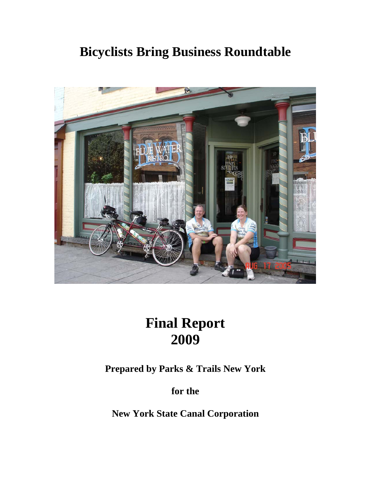# **Bicyclists Bring Business Roundtable**



# **Final Report 2009**

**Prepared by Parks & Trails New York** 

**for the** 

**New York State Canal Corporation**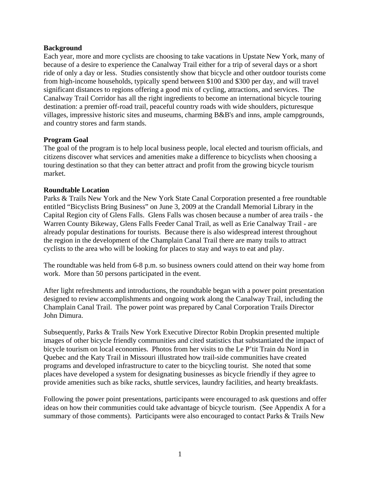#### **Background**

Each year, more and more cyclists are choosing to take vacations in Upstate New York, many of because of a desire to experience the Canalway Trail either for a trip of several days or a short ride of only a day or less. Studies consistently show that bicycle and other outdoor tourists come from high-income households, typically spend between \$100 and \$300 per day, and will travel significant distances to regions offering a good mix of cycling, attractions, and services. The Canalway Trail Corridor has all the right ingredients to become an international bicycle touring destination: a premier off-road trail, peaceful country roads with wide shoulders, picturesque villages, impressive historic sites and museums, charming B&B's and inns, ample campgrounds, and country stores and farm stands.

# **Program Goal**

The goal of the program is to help local business people, local elected and tourism officials, and citizens discover what services and amenities make a difference to bicyclists when choosing a touring destination so that they can better attract and profit from the growing bicycle tourism market.

#### **Roundtable Location**

Parks & Trails New York and the New York State Canal Corporation presented a free roundtable entitled "Bicyclists Bring Business" on June 3, 2009 at the Crandall Memorial Library in the Capital Region city of Glens Falls. Glens Falls was chosen because a number of area trails - the Warren County Bikeway, Glens Falls Feeder Canal Trail, as well as Erie Canalway Trail - are already popular destinations for tourists. Because there is also widespread interest throughout the region in the development of the Champlain Canal Trail there are many trails to attract cyclists to the area who will be looking for places to stay and ways to eat and play.

The roundtable was held from 6-8 p.m. so business owners could attend on their way home from work. More than 50 persons participated in the event.

After light refreshments and introductions, the roundtable began with a power point presentation designed to review accomplishments and ongoing work along the Canalway Trail, including the Champlain Canal Trail. The power point was prepared by Canal Corporation Trails Director John Dimura.

Subsequently, Parks & Trails New York Executive Director Robin Dropkin presented multiple images of other bicycle friendly communities and cited statistics that substantiated the impact of bicycle tourism on local economies. Photos from her visits to the Le P'tit Train du Nord in Quebec and the Katy Trail in Missouri illustrated how trail-side communities have created programs and developed infrastructure to cater to the bicycling tourist. She noted that some places have developed a system for designating businesses as bicycle friendly if they agree to provide amenities such as bike racks, shuttle services, laundry facilities, and hearty breakfasts.

Following the power point presentations, participants were encouraged to ask questions and offer ideas on how their communities could take advantage of bicycle tourism. (See Appendix A for a summary of those comments). Participants were also encouraged to contact Parks & Trails New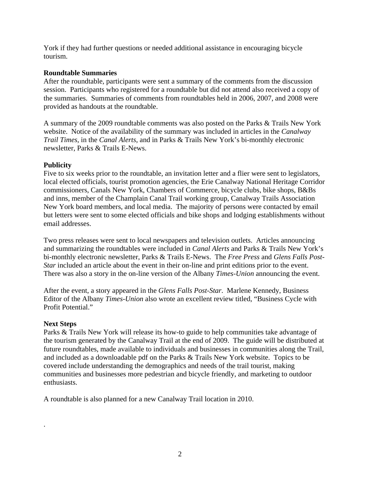York if they had further questions or needed additional assistance in encouraging bicycle tourism.

# **Roundtable Summaries**

After the roundtable, participants were sent a summary of the comments from the discussion session. Participants who registered for a roundtable but did not attend also received a copy of the summaries. Summaries of comments from roundtables held in 2006, 2007, and 2008 were provided as handouts at the roundtable.

A summary of the 2009 roundtable comments was also posted on the Parks & Trails New York website. Notice of the availability of the summary was included in articles in the *Canalway Trail Times,* in the *Canal Alerts*, and in Parks & Trails New York's bi-monthly electronic newsletter, Parks & Trails E-News.

# **Publicity**

Five to six weeks prior to the roundtable, an invitation letter and a flier were sent to legislators, local elected officials, tourist promotion agencies, the Erie Canalway National Heritage Corridor commissioners, Canals New York, Chambers of Commerce, bicycle clubs, bike shops, B&Bs and inns, member of the Champlain Canal Trail working group, Canalway Trails Association New York board members, and local media. The majority of persons were contacted by email but letters were sent to some elected officials and bike shops and lodging establishments without email addresses.

Two press releases were sent to local newspapers and television outlets. Articles announcing and summarizing the roundtables were included in *Canal Alerts* and Parks & Trails New York's bi-monthly electronic newsletter, Parks & Trails E-News. The *Free Press* and *Glens Falls Post-Star* included an article about the event in their on-line and print editions prior to the event. There was also a story in the on-line version of the Albany *Times-Union* announcing the event.

After the event, a story appeared in the *Glens Falls Post-Star*. Marlene Kennedy, Business Editor of the Albany *Times-Union* also wrote an excellent review titled, "Business Cycle with Profit Potential."

#### **Next Steps**

.

Parks & Trails New York will release its how-to guide to help communities take advantage of the tourism generated by the Canalway Trail at the end of 2009. The guide will be distributed at future roundtables, made available to individuals and businesses in communities along the Trail, and included as a downloadable pdf on the Parks & Trails New York website. Topics to be covered include understanding the demographics and needs of the trail tourist, making communities and businesses more pedestrian and bicycle friendly, and marketing to outdoor enthusiasts.

A roundtable is also planned for a new Canalway Trail location in 2010.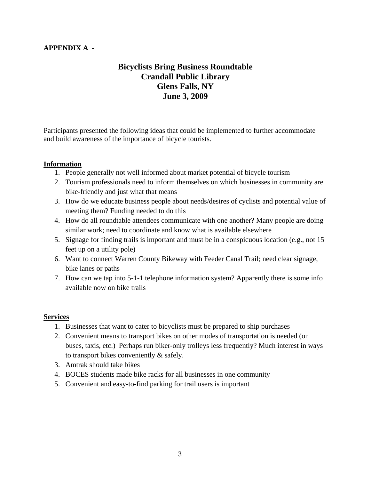# **APPENDIX A -**

# **Bicyclists Bring Business Roundtable Crandall Public Library Glens Falls, NY June 3, 2009**

Participants presented the following ideas that could be implemented to further accommodate and build awareness of the importance of bicycle tourists.

# **Information**

- 1. People generally not well informed about market potential of bicycle tourism
- 2. Tourism professionals need to inform themselves on which businesses in community are bike-friendly and just what that means
- 3. How do we educate business people about needs/desires of cyclists and potential value of meeting them? Funding needed to do this
- 4. How do all roundtable attendees communicate with one another? Many people are doing similar work; need to coordinate and know what is available elsewhere
- 5. Signage for finding trails is important and must be in a conspicuous location (e.g., not 15 feet up on a utility pole)
- 6. Want to connect Warren County Bikeway with Feeder Canal Trail; need clear signage, bike lanes or paths
- 7. How can we tap into 5-1-1 telephone information system? Apparently there is some info available now on bike trails

#### **Services**

- 1. Businesses that want to cater to bicyclists must be prepared to ship purchases
- 2. Convenient means to transport bikes on other modes of transportation is needed (on buses, taxis, etc.) Perhaps run biker-only trolleys less frequently? Much interest in ways to transport bikes conveniently & safely.
- 3. Amtrak should take bikes
- 4. BOCES students made bike racks for all businesses in one community
- 5. Convenient and easy-to-find parking for trail users is important